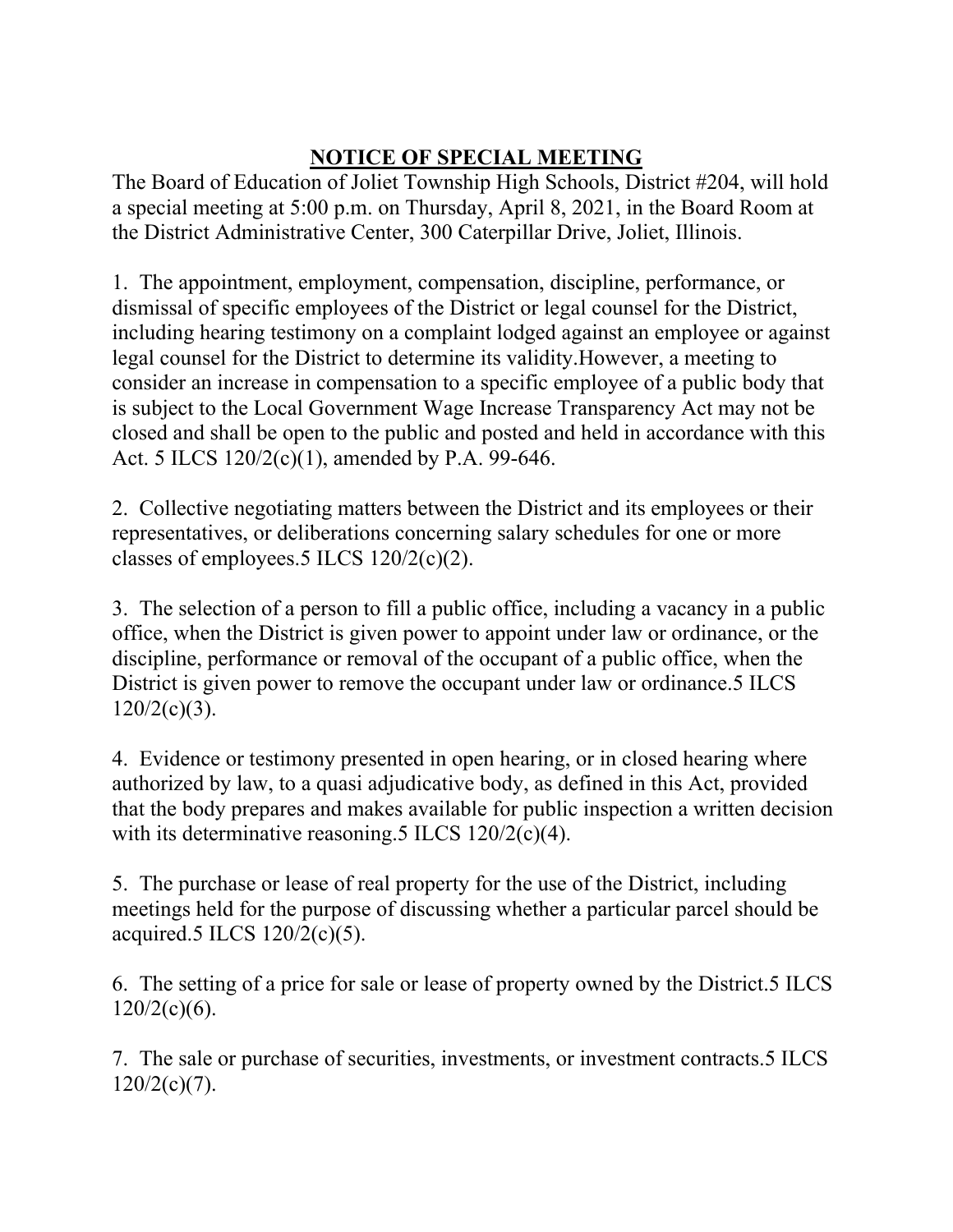## **NOTICE OF SPECIAL MEETING**

The Board of Education of Joliet Township High Schools, District #204, will hold a special meeting at 5:00 p.m. on Thursday, April 8, 2021, in the Board Room at the District Administrative Center, 300 Caterpillar Drive, Joliet, Illinois.

1. The appointment, employment, compensation, discipline, performance, or dismissal of specific employees of the District or legal counsel for the District, including hearing testimony on a complaint lodged against an employee or against legal counsel for the District to determine its validity.However, a meeting to consider an increase in compensation to a specific employee of a public body that is subject to the Local Government Wage Increase Transparency Act may not be closed and shall be open to the public and posted and held in accordance with this Act. 5 ILCS 120/2(c)(1), amended by P.A. 99-646.

2. Collective negotiating matters between the District and its employees or their representatives, or deliberations concerning salary schedules for one or more classes of employees.5 ILCS 120/2(c)(2).

3. The selection of a person to fill a public office, including a vacancy in a public office, when the District is given power to appoint under law or ordinance, or the discipline, performance or removal of the occupant of a public office, when the District is given power to remove the occupant under law or ordinance.5 ILCS  $120/2(c)(3)$ .

4. Evidence or testimony presented in open hearing, or in closed hearing where authorized by law, to a quasi adjudicative body, as defined in this Act, provided that the body prepares and makes available for public inspection a written decision with its determinative reasoning.5 ILCS 120/2(c)(4).

5. The purchase or lease of real property for the use of the District, including meetings held for the purpose of discussing whether a particular parcel should be acquired.5 ILCS 120/2(c)(5).

6. The setting of a price for sale or lease of property owned by the District.5 ILCS  $120/2(c)(6)$ .

7. The sale or purchase of securities, investments, or investment contracts.5 ILCS  $120/2(c)(7)$ .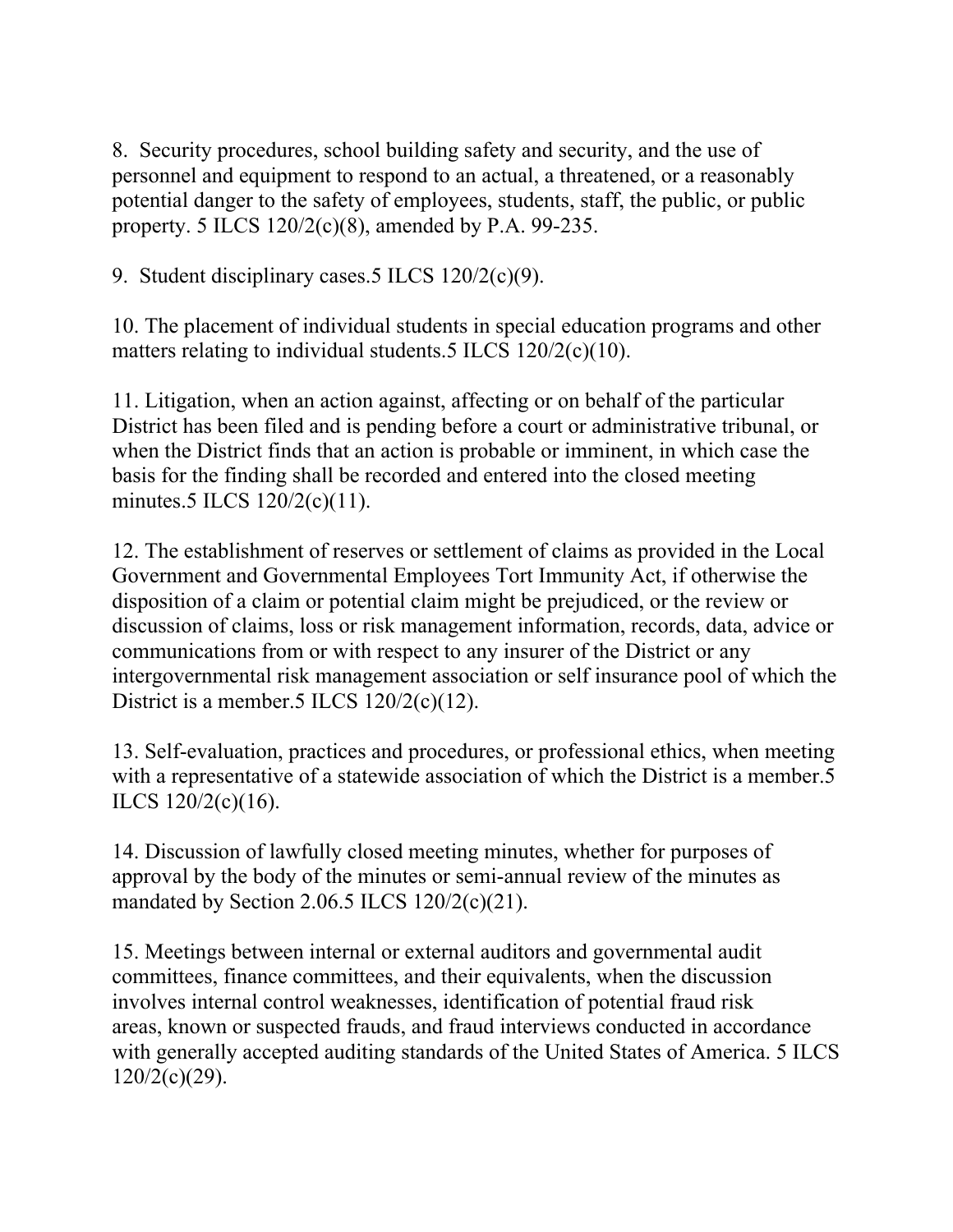8. Security procedures, school building safety and security, and the use of personnel and equipment to respond to an actual, a threatened, or a reasonably potential danger to the safety of employees, students, staff, the public, or public property. 5 ILCS 120/2(c)(8), amended by P.A. 99-235.

9. Student disciplinary cases.5 ILCS 120/2(c)(9).

10. The placement of individual students in special education programs and other matters relating to individual students.5 ILCS 120/2(c)(10).

11. Litigation, when an action against, affecting or on behalf of the particular District has been filed and is pending before a court or administrative tribunal, or when the District finds that an action is probable or imminent, in which case the basis for the finding shall be recorded and entered into the closed meeting minutes.5 ILCS 120/2(c)(11).

12. The establishment of reserves or settlement of claims as provided in the Local Government and Governmental Employees Tort Immunity Act, if otherwise the disposition of a claim or potential claim might be prejudiced, or the review or discussion of claims, loss or risk management information, records, data, advice or communications from or with respect to any insurer of the District or any intergovernmental risk management association or self insurance pool of which the District is a member.5 ILCS  $120/2(c)(12)$ .

13. Self-evaluation, practices and procedures, or professional ethics, when meeting with a representative of a statewide association of which the District is a member.5 ILCS 120/2(c)(16).

14. Discussion of lawfully closed meeting minutes, whether for purposes of approval by the body of the minutes or semi-annual review of the minutes as mandated by Section 2.06.5 ILCS 120/2(c)(21).

15. Meetings between internal or external auditors and governmental audit committees, finance committees, and their equivalents, when the discussion involves internal control weaknesses, identification of potential fraud risk areas, known or suspected frauds, and fraud interviews conducted in accordance with generally accepted auditing standards of the United States of America. 5 ILCS  $120/2(c)(29)$ .